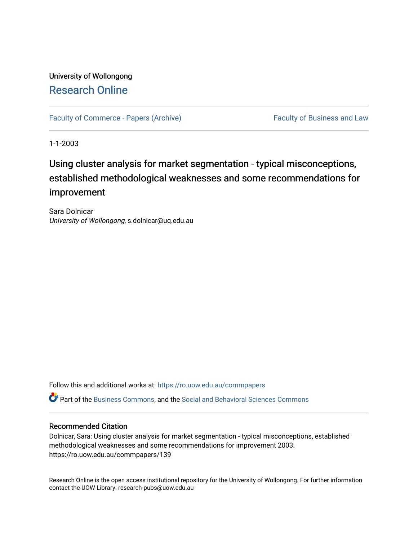# University of Wollongong [Research Online](https://ro.uow.edu.au/)

[Faculty of Commerce - Papers \(Archive\)](https://ro.uow.edu.au/commpapers) Faculty of Business and Law

1-1-2003

# Using cluster analysis for market segmentation - typical misconceptions, established methodological weaknesses and some recommendations for improvement

Sara Dolnicar University of Wollongong, s.dolnicar@uq.edu.au

Follow this and additional works at: [https://ro.uow.edu.au/commpapers](https://ro.uow.edu.au/commpapers?utm_source=ro.uow.edu.au%2Fcommpapers%2F139&utm_medium=PDF&utm_campaign=PDFCoverPages) 

Part of the [Business Commons](http://network.bepress.com/hgg/discipline/622?utm_source=ro.uow.edu.au%2Fcommpapers%2F139&utm_medium=PDF&utm_campaign=PDFCoverPages), and the [Social and Behavioral Sciences Commons](http://network.bepress.com/hgg/discipline/316?utm_source=ro.uow.edu.au%2Fcommpapers%2F139&utm_medium=PDF&utm_campaign=PDFCoverPages) 

#### Recommended Citation

Dolnicar, Sara: Using cluster analysis for market segmentation - typical misconceptions, established methodological weaknesses and some recommendations for improvement 2003. https://ro.uow.edu.au/commpapers/139

Research Online is the open access institutional repository for the University of Wollongong. For further information contact the UOW Library: research-pubs@uow.edu.au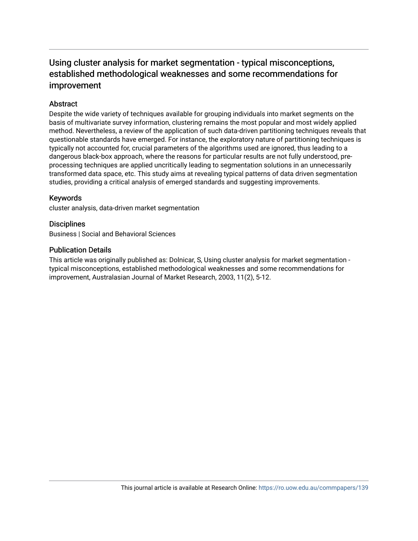## Using cluster analysis for market segmentation - typical misconceptions, established methodological weaknesses and some recommendations for improvement

## **Abstract**

Despite the wide variety of techniques available for grouping individuals into market segments on the basis of multivariate survey information, clustering remains the most popular and most widely applied method. Nevertheless, a review of the application of such data-driven partitioning techniques reveals that questionable standards have emerged. For instance, the exploratory nature of partitioning techniques is typically not accounted for, crucial parameters of the algorithms used are ignored, thus leading to a dangerous black-box approach, where the reasons for particular results are not fully understood, preprocessing techniques are applied uncritically leading to segmentation solutions in an unnecessarily transformed data space, etc. This study aims at revealing typical patterns of data driven segmentation studies, providing a critical analysis of emerged standards and suggesting improvements.

### Keywords

cluster analysis, data-driven market segmentation

### **Disciplines**

Business | Social and Behavioral Sciences

#### Publication Details

This article was originally published as: Dolnicar, S, Using cluster analysis for market segmentation typical misconceptions, established methodological weaknesses and some recommendations for improvement, Australasian Journal of Market Research, 2003, 11(2), 5-12.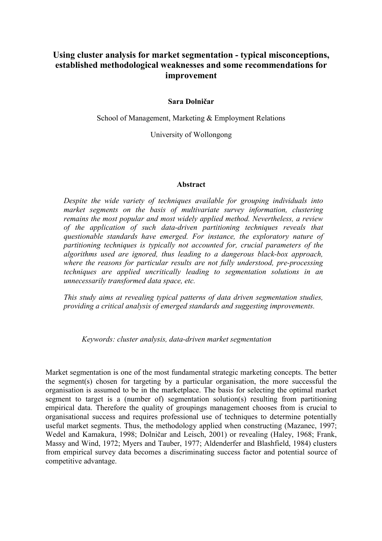## **Using cluster analysis for market segmentation - typical misconceptions, established methodological weaknesses and some recommendations for improvement**

## **Sara Dolniar**

School of Management, Marketing & Employment Relations

University of Wollongong

#### **Abstract**

*Despite the wide variety of techniques available for grouping individuals into market segments on the basis of multivariate survey information, clustering remains the most popular and most widely applied method. Nevertheless, a review of the application of such data-driven partitioning techniques reveals that questionable standards have emerged. For instance, the exploratory nature of partitioning techniques is typically not accounted for, crucial parameters of the algorithms used are ignored, thus leading to a dangerous black-box approach, where the reasons for particular results are not fully understood, pre-processing techniques are applied uncritically leading to segmentation solutions in an unnecessarily transformed data space, etc.* 

*This study aims at revealing typical patterns of data driven segmentation studies, providing a critical analysis of emerged standards and suggesting improvements.* 

*Keywords: cluster analysis, data-driven market segmentation* 

Market segmentation is one of the most fundamental strategic marketing concepts. The better the segment(s) chosen for targeting by a particular organisation, the more successful the organisation is assumed to be in the marketplace. The basis for selecting the optimal market segment to target is a (number of) segmentation solution(s) resulting from partitioning empirical data. Therefore the quality of groupings management chooses from is crucial to organisational success and requires professional use of techniques to determine potentially useful market segments. Thus, the methodology applied when constructing (Mazanec, 1997; Wedel and Kamakura, 1998; Dolničar and Leisch, 2001) or revealing (Haley, 1968; Frank, Massy and Wind, 1972; Myers and Tauber, 1977; Aldenderfer and Blashfield, 1984) clusters from empirical survey data becomes a discriminating success factor and potential source of competitive advantage.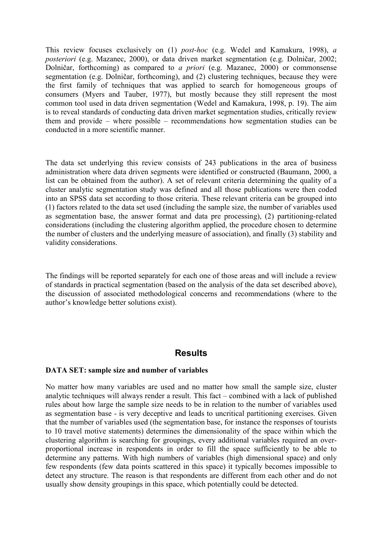This review focuses exclusively on (1) *post-hoc* (e.g. Wedel and Kamakura, 1998), *a posteriori* (e.g. Mazanec, 2000), or data driven market segmentation (e.g. Dolničar, 2002; Dolničar, forthcoming) as compared to *a priori* (e.g. Mazanec, 2000) or commonsense segmentation (e.g. Dolničar, forthcoming), and (2) clustering techniques, because they were the first family of techniques that was applied to search for homogeneous groups of consumers (Myers and Tauber, 1977), but mostly because they still represent the most common tool used in data driven segmentation (Wedel and Kamakura, 1998, p. 19). The aim is to reveal standards of conducting data driven market segmentation studies, critically review them and provide – where possible – recommendations how segmentation studies can be conducted in a more scientific manner.

The data set underlying this review consists of 243 publications in the area of business administration where data driven segments were identified or constructed (Baumann, 2000, a list can be obtained from the author). A set of relevant criteria determining the quality of a cluster analytic segmentation study was defined and all those publications were then coded into an SPSS data set according to those criteria. These relevant criteria can be grouped into (1) factors related to the data set used (including the sample size, the number of variables used as segmentation base, the answer format and data pre processing), (2) partitioning-related considerations (including the clustering algorithm applied, the procedure chosen to determine the number of clusters and the underlying measure of association), and finally (3) stability and validity considerations.

The findings will be reported separately for each one of those areas and will include a review of standards in practical segmentation (based on the analysis of the data set described above), the discussion of associated methodological concerns and recommendations (where to the author's knowledge better solutions exist).

## **Results**

### **DATA SET: sample size and number of variables**

No matter how many variables are used and no matter how small the sample size, cluster analytic techniques will always render a result. This fact – combined with a lack of published rules about how large the sample size needs to be in relation to the number of variables used as segmentation base - is very deceptive and leads to uncritical partitioning exercises. Given that the number of variables used (the segmentation base, for instance the responses of tourists to 10 travel motive statements) determines the dimensionality of the space within which the clustering algorithm is searching for groupings, every additional variables required an overproportional increase in respondents in order to fill the space sufficiently to be able to determine any patterns. With high numbers of variables (high dimensional space) and only few respondents (few data points scattered in this space) it typically becomes impossible to detect any structure. The reason is that respondents are different from each other and do not usually show density groupings in this space, which potentially could be detected.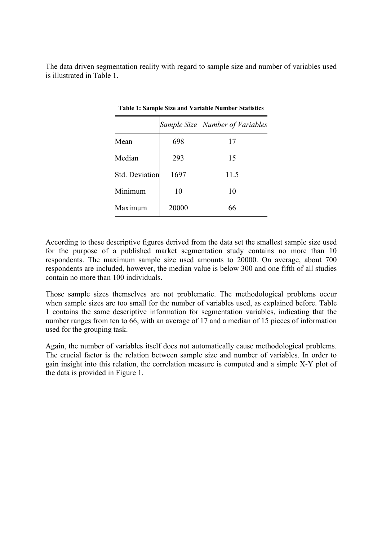The data driven segmentation reality with regard to sample size and number of variables used is illustrated in Table 1.

|                       |       | Sample Size Number of Variables |
|-----------------------|-------|---------------------------------|
| Mean                  | 698   | 17                              |
| Median                | 293   | 15                              |
| <b>Std. Deviation</b> | 1697  | 11.5                            |
| Minimum               | 10    | 10                              |
| Maximum               | 20000 | 66                              |

**Table 1: Sample Size and Variable Number Statistics** 

According to these descriptive figures derived from the data set the smallest sample size used for the purpose of a published market segmentation study contains no more than 10 respondents. The maximum sample size used amounts to 20000. On average, about 700 respondents are included, however, the median value is below 300 and one fifth of all studies contain no more than 100 individuals.

Those sample sizes themselves are not problematic. The methodological problems occur when sample sizes are too small for the number of variables used, as explained before. Table 1 contains the same descriptive information for segmentation variables, indicating that the number ranges from ten to 66, with an average of 17 and a median of 15 pieces of information used for the grouping task.

Again, the number of variables itself does not automatically cause methodological problems. The crucial factor is the relation between sample size and number of variables. In order to gain insight into this relation, the correlation measure is computed and a simple X-Y plot of the data is provided in Figure 1.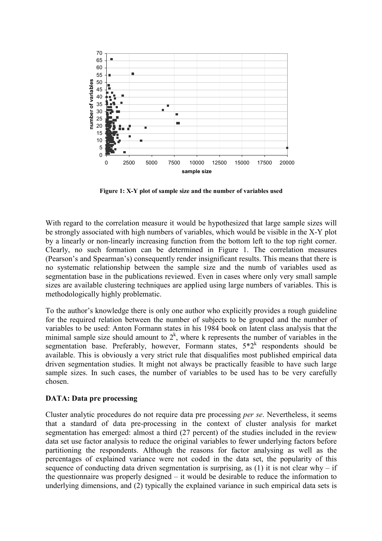

**Figure 1: X-Y plot of sample size and the number of variables used** 

With regard to the correlation measure it would be hypothesized that large sample sizes will be strongly associated with high numbers of variables, which would be visible in the X-Y plot by a linearly or non-linearly increasing function from the bottom left to the top right corner. Clearly, no such formation can be determined in Figure 1. The correlation measures (Pearson's and Spearman's) consequently render insignificant results. This means that there is no systematic relationship between the sample size and the numb of variables used as segmentation base in the publications reviewed. Even in cases where only very small sample sizes are available clustering techniques are applied using large numbers of variables. This is methodologically highly problematic.

To the author's knowledge there is only one author who explicitly provides a rough guideline for the required relation between the number of subjects to be grouped and the number of variables to be used: Anton Formann states in his 1984 book on latent class analysis that the minimal sample size should amount to  $2<sup>k</sup>$ , where k represents the number of variables in the segmentation base. Preferably, however, Formann states,  $5*2^k$  respondents should be available. This is obviously a very strict rule that disqualifies most published empirical data driven segmentation studies. It might not always be practically feasible to have such large sample sizes. In such cases, the number of variables to be used has to be very carefully chosen.

## **DATA: Data pre processing**

Cluster analytic procedures do not require data pre processing *per se*. Nevertheless, it seems that a standard of data pre-processing in the context of cluster analysis for market segmentation has emerged: almost a third (27 percent) of the studies included in the review data set use factor analysis to reduce the original variables to fewer underlying factors before partitioning the respondents. Although the reasons for factor analysing as well as the percentages of explained variance were not coded in the data set, the popularity of this sequence of conducting data driven segmentation is surprising, as  $(1)$  it is not clear why – if the questionnaire was properly designed – it would be desirable to reduce the information to underlying dimensions, and (2) typically the explained variance in such empirical data sets is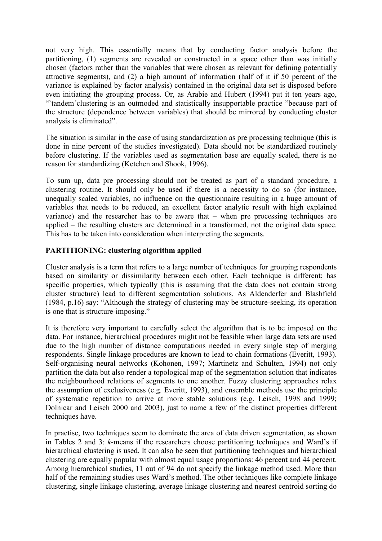not very high. This essentially means that by conducting factor analysis before the partitioning, (1) segments are revealed or constructed in a space other than was initially chosen (factors rather than the variables that were chosen as relevant for defining potentially attractive segments), and (2) a high amount of information (half of it if 50 percent of the variance is explained by factor analysis) contained in the original data set is disposed before even initiating the grouping process. Or, as Arabie and Hubert (1994) put it ten years ago, "'tandem' clustering is an outmoded and statistically insupportable practice "because part of the structure (dependence between variables) that should be mirrored by conducting cluster analysis is eliminated".

The situation is similar in the case of using standardization as pre processing technique (this is done in nine percent of the studies investigated). Data should not be standardized routinely before clustering. If the variables used as segmentation base are equally scaled, there is no reason for standardizing (Ketchen and Shook, 1996).

To sum up, data pre processing should not be treated as part of a standard procedure, a clustering routine. It should only be used if there is a necessity to do so (for instance, unequally scaled variables, no influence on the questionnaire resulting in a huge amount of variables that needs to be reduced, an excellent factor analytic result with high explained variance) and the researcher has to be aware that – when pre processing techniques are applied – the resulting clusters are determined in a transformed, not the original data space. This has to be taken into consideration when interpreting the segments.

## **PARTITIONING: clustering algorithm applied**

Cluster analysis is a term that refers to a large number of techniques for grouping respondents based on similarity or dissimilarity between each other. Each technique is different; has specific properties, which typically (this is assuming that the data does not contain strong cluster structure) lead to different segmentation solutions. As Aldenderfer and Blashfield (1984, p.16) say: "Although the strategy of clustering may be structure-seeking, its operation is one that is structure-imposing."

It is therefore very important to carefully select the algorithm that is to be imposed on the data. For instance, hierarchical procedures might not be feasible when large data sets are used due to the high number of distance computations needed in every single step of merging respondents. Single linkage procedures are known to lead to chain formations (Everitt, 1993). Self-organising neural networks (Kohonen, 1997; Martinetz and Schulten, 1994) not only partition the data but also render a topological map of the segmentation solution that indicates the neighbourhood relations of segments to one another. Fuzzy clustering approaches relax the assumption of exclusiveness (e.g. Everitt, 1993), and ensemble methods use the principle of systematic repetition to arrive at more stable solutions (e.g. Leisch, 1998 and 1999; Dolnicar and Leisch 2000 and 2003), just to name a few of the distinct properties different techniques have.

In practise, two techniques seem to dominate the area of data driven segmentation, as shown in Tables 2 and 3: *k*-means if the researchers choose partitioning techniques and Ward's if hierarchical clustering is used. It can also be seen that partitioning techniques and hierarchical clustering are equally popular with almost equal usage proportions: 46 percent and 44 percent. Among hierarchical studies, 11 out of 94 do not specify the linkage method used. More than half of the remaining studies uses Ward's method. The other techniques like complete linkage clustering, single linkage clustering, average linkage clustering and nearest centroid sorting do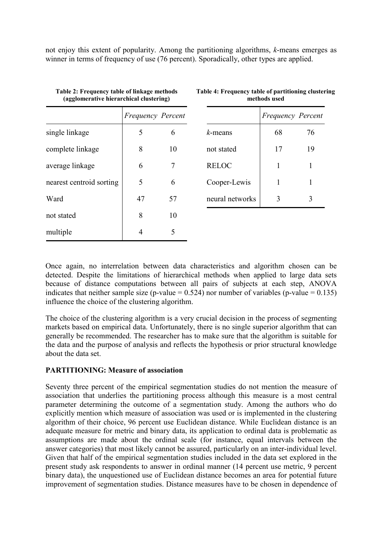not enjoy this extent of popularity. Among the partitioning algorithms, *k*-means emerges as winner in terms of frequency of use (76 percent). Sporadically, other types are applied.

| rabic 2. 11 equency table of minage includes<br>(agglomerative hierarchical clustering) |                          |    | Table 1. 1 requestly table of partitioning enable<br>methods used |                          |    |
|-----------------------------------------------------------------------------------------|--------------------------|----|-------------------------------------------------------------------|--------------------------|----|
|                                                                                         | <b>Frequency Percent</b> |    |                                                                   | <b>Frequency Percent</b> |    |
| single linkage                                                                          | 5                        | 6  | $k$ -means                                                        | 68                       | 76 |
| complete linkage                                                                        | 8                        | 10 | not stated                                                        | 17                       | 19 |
| average linkage                                                                         | 6                        | 7  | <b>RELOC</b>                                                      |                          | 1  |
| nearest centroid sorting                                                                | 5                        | 6  | Cooper-Lewis                                                      |                          |    |
| Ward                                                                                    | 47                       | 57 | neural networks                                                   | 3                        | 3  |
| not stated                                                                              | 8                        | 10 |                                                                   |                          |    |
| multiple                                                                                | 4                        | 5  |                                                                   |                          |    |

**Table 2: Frequency table of linkage methods Table 4: Frequency table of partitioning clustering** 

Once again, no interrelation between data characteristics and algorithm chosen can be detected. Despite the limitations of hierarchical methods when applied to large data sets because of distance computations between all pairs of subjects at each step, ANOVA indicates that neither sample size (p-value =  $0.524$ ) nor number of variables (p-value =  $0.135$ ) influence the choice of the clustering algorithm.

The choice of the clustering algorithm is a very crucial decision in the process of segmenting markets based on empirical data. Unfortunately, there is no single superior algorithm that can generally be recommended. The researcher has to make sure that the algorithm is suitable for the data and the purpose of analysis and reflects the hypothesis or prior structural knowledge about the data set.

### **PARTITIONING: Measure of association**

Seventy three percent of the empirical segmentation studies do not mention the measure of association that underlies the partitioning process although this measure is a most central parameter determining the outcome of a segmentation study. Among the authors who do explicitly mention which measure of association was used or is implemented in the clustering algorithm of their choice, 96 percent use Euclidean distance. While Euclidean distance is an adequate measure for metric and binary data, its application to ordinal data is problematic as assumptions are made about the ordinal scale (for instance, equal intervals between the answer categories) that most likely cannot be assured, particularly on an inter-individual level. Given that half of the empirical segmentation studies included in the data set explored in the present study ask respondents to answer in ordinal manner (14 percent use metric, 9 percent binary data), the unquestioned use of Euclidean distance becomes an area for potential future improvement of segmentation studies. Distance measures have to be chosen in dependence of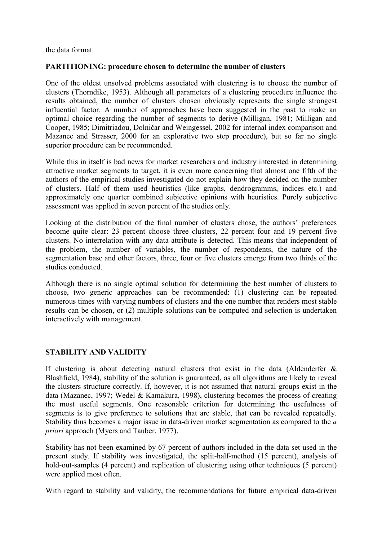the data format.

## **PARTITIONING: procedure chosen to determine the number of clusters**

One of the oldest unsolved problems associated with clustering is to choose the number of clusters (Thorndike, 1953). Although all parameters of a clustering procedure influence the results obtained, the number of clusters chosen obviously represents the single strongest influential factor. A number of approaches have been suggested in the past to make an optimal choice regarding the number of segments to derive (Milligan, 1981; Milligan and Cooper, 1985; Dimitriadou, Dolničar and Weingessel, 2002 for internal index comparison and Mazanec and Strasser, 2000 for an explorative two step procedure), but so far no single superior procedure can be recommended.

While this in itself is bad news for market researchers and industry interested in determining attractive market segments to target, it is even more concerning that almost one fifth of the authors of the empirical studies investigated do not explain how they decided on the number of clusters. Half of them used heuristics (like graphs, dendrogramms, indices etc.) and approximately one quarter combined subjective opinions with heuristics. Purely subjective assessment was applied in seven percent of the studies only.

Looking at the distribution of the final number of clusters chose, the authors' preferences become quite clear: 23 percent choose three clusters, 22 percent four and 19 percent five clusters. No interrelation with any data attribute is detected. This means that independent of the problem, the number of variables, the number of respondents, the nature of the segmentation base and other factors, three, four or five clusters emerge from two thirds of the studies conducted.

Although there is no single optimal solution for determining the best number of clusters to choose, two generic approaches can be recommended: (1) clustering can be repeated numerous times with varying numbers of clusters and the one number that renders most stable results can be chosen, or (2) multiple solutions can be computed and selection is undertaken interactively with management.

## **STABILITY AND VALIDITY**

If clustering is about detecting natural clusters that exist in the data (Aldenderfer  $\&$ Blashfield, 1984), stability of the solution is guaranteed, as all algorithms are likely to reveal the clusters structure correctly. If, however, it is not assumed that natural groups exist in the data (Mazanec, 1997; Wedel & Kamakura, 1998), clustering becomes the process of creating the most useful segments. One reasonable criterion for determining the usefulness of segments is to give preference to solutions that are stable, that can be revealed repeatedly. Stability thus becomes a major issue in data-driven market segmentation as compared to the *a priori* approach (Myers and Tauber, 1977).

Stability has not been examined by 67 percent of authors included in the data set used in the present study. If stability was investigated, the split-half-method (15 percent), analysis of hold-out-samples (4 percent) and replication of clustering using other techniques (5 percent) were applied most often.

With regard to stability and validity, the recommendations for future empirical data-driven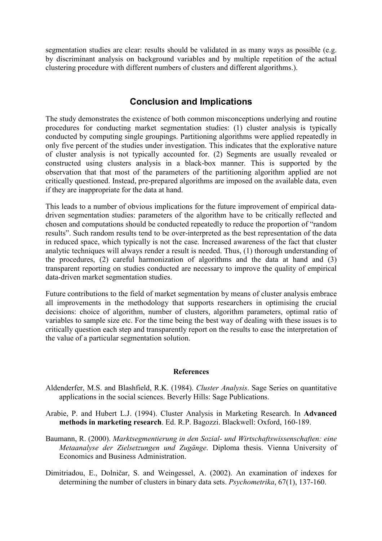segmentation studies are clear: results should be validated in as many ways as possible (e.g. by discriminant analysis on background variables and by multiple repetition of the actual clustering procedure with different numbers of clusters and different algorithms.).

## **Conclusion and Implications**

The study demonstrates the existence of both common misconceptions underlying and routine procedures for conducting market segmentation studies: (1) cluster analysis is typically conducted by computing single groupings. Partitioning algorithms were applied repeatedly in only five percent of the studies under investigation. This indicates that the explorative nature of cluster analysis is not typically accounted for. (2) Segments are usually revealed or constructed using clusters analysis in a black-box manner. This is supported by the observation that that most of the parameters of the partitioning algorithm applied are not critically questioned. Instead, pre-prepared algorithms are imposed on the available data, even if they are inappropriate for the data at hand.

This leads to a number of obvious implications for the future improvement of empirical datadriven segmentation studies: parameters of the algorithm have to be critically reflected and chosen and computations should be conducted repeatedly to reduce the proportion of "random results". Such random results tend to be over-interpreted as the best representation of the data in reduced space, which typically is not the case. Increased awareness of the fact that cluster analytic techniques will always render a result is needed. Thus, (1) thorough understanding of the procedures, (2) careful harmonization of algorithms and the data at hand and (3) transparent reporting on studies conducted are necessary to improve the quality of empirical data-driven market segmentation studies.

Future contributions to the field of market segmentation by means of cluster analysis embrace all improvements in the methodology that supports researchers in optimising the crucial decisions: choice of algorithm, number of clusters, algorithm parameters, optimal ratio of variables to sample size etc. For the time being the best way of dealing with these issues is to critically question each step and transparently report on the results to ease the interpretation of the value of a particular segmentation solution.

### **References**

- Aldenderfer, M.S. and Blashfield, R.K. (1984). *Cluster Analysis*. Sage Series on quantitative applications in the social sciences. Beverly Hills: Sage Publications.
- Arabie, P. and Hubert L.J. (1994). Cluster Analysis in Marketing Research. In **Advanced methods in marketing research**. Ed. R.P. Bagozzi. Blackwell: Oxford, 160-189.
- Baumann, R. (2000). *Marktsegmentierung in den Sozial- und Wirtschaftswissenschaften: eine Metaanalyse der Zielsetzungen und Zugänge*. Diploma thesis. Vienna University of Economics and Business Administration.
- Dimitriadou, E., Dolničar, S. and Weingessel, A. (2002). An examination of indexes for determining the number of clusters in binary data sets. *Psychometrika*, 67(1), 137-160.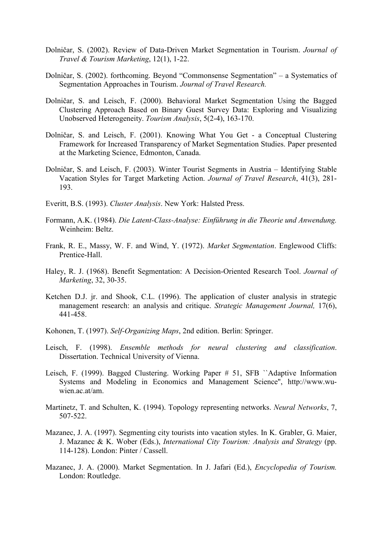- Dolničar, S. (2002). Review of Data-Driven Market Segmentation in Tourism. *Journal of Travel & Tourism Marketing*, 12(1), 1-22.
- Dolničar, S. (2002). forthcoming. Beyond "Commonsense Segmentation" a Systematics of Segmentation Approaches in Tourism. *Journal of Travel Research.*
- Dolničar, S. and Leisch, F. (2000). Behavioral Market Segmentation Using the Bagged Clustering Approach Based on Binary Guest Survey Data: Exploring and Visualizing Unobserved Heterogeneity. *Tourism Analysis*, 5(2-4), 163-170.
- Dolničar, S. and Leisch, F. (2001). Knowing What You Get a Conceptual Clustering Framework for Increased Transparency of Market Segmentation Studies. Paper presented at the Marketing Science, Edmonton, Canada.
- Dolničar, S. and Leisch, F. (2003). Winter Tourist Segments in Austria Identifying Stable Vacation Styles for Target Marketing Action. *Journal of Travel Research*, 41(3), 281- 193.
- Everitt, B.S. (1993). *Cluster Analysis*. New York: Halsted Press.
- Formann, A.K. (1984). *Die Latent-Class-Analyse: Einführung in die Theorie und Anwendung.* Weinheim: Beltz.
- Frank, R. E., Massy, W. F. and Wind, Y. (1972). *Market Segmentation*. Englewood Cliffs: Prentice-Hall.
- Haley, R. J. (1968). Benefit Segmentation: A Decision-Oriented Research Tool. *Journal of Marketing*, 32, 30-35.
- Ketchen D.J. jr. and Shook, C.L. (1996). The application of cluster analysis in strategic management research: an analysis and critique. *Strategic Management Journal,* 17(6), 441-458.
- Kohonen, T. (1997). *Self-Organizing Maps*, 2nd edition. Berlin: Springer.
- Leisch, F. (1998). *Ensemble methods for neural clustering and classification*. Dissertation. Technical University of Vienna.
- Leisch, F. (1999). Bagged Clustering. Working Paper # 51, SFB ``Adaptive Information Systems and Modeling in Economics and Management Science'', http://www.wuwien ac at/am.
- Martinetz, T. and Schulten, K. (1994). Topology representing networks. *Neural Networks*, 7, 507-522.
- Mazanec, J. A. (1997). Segmenting city tourists into vacation styles. In K. Grabler, G. Maier, J. Mazanec & K. Wober (Eds.), *International City Tourism: Analysis and Strategy* (pp. 114-128). London: Pinter / Cassell.
- Mazanec, J. A. (2000). Market Segmentation. In J. Jafari (Ed.), *Encyclopedia of Tourism.*  London: Routledge.